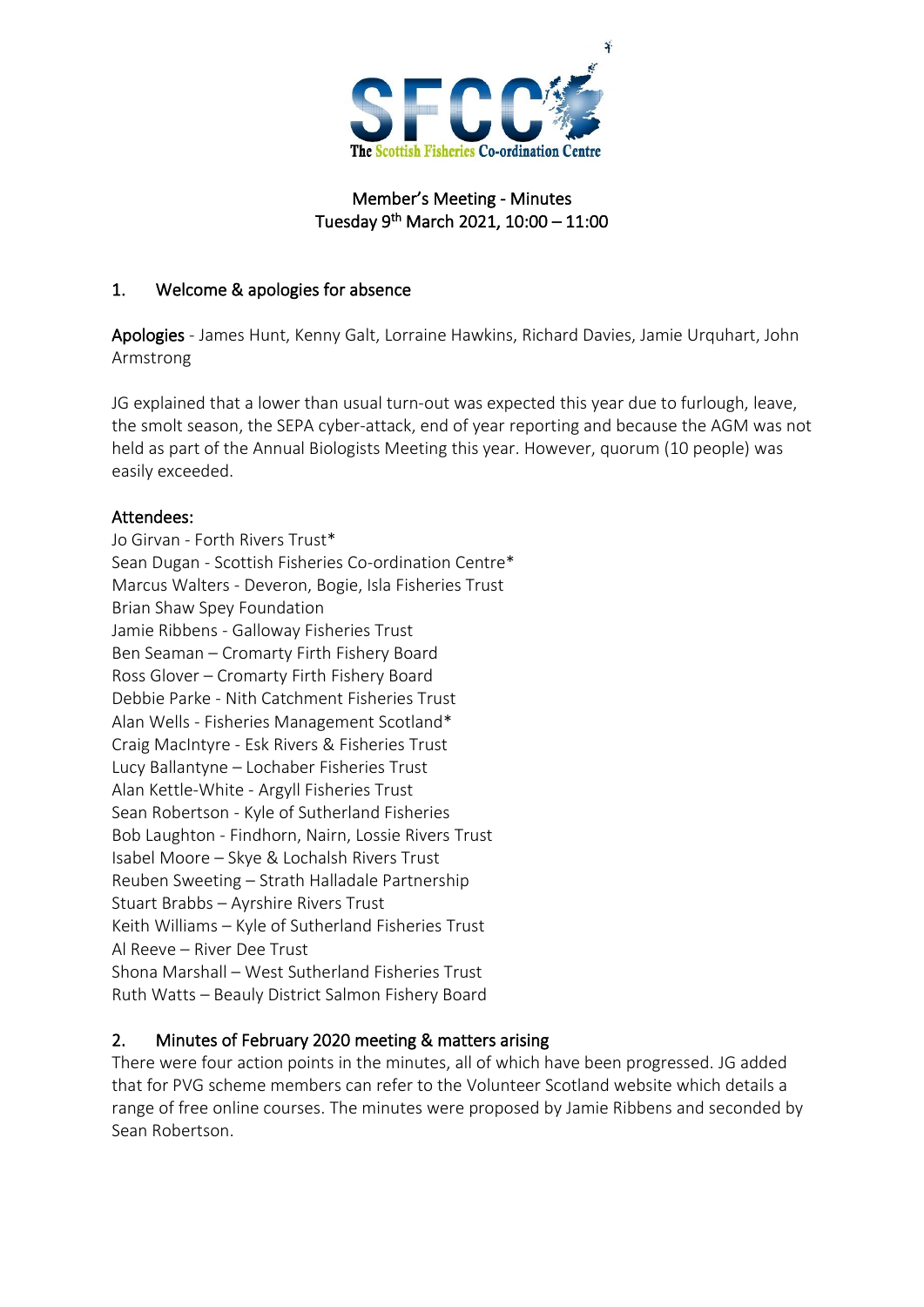

#### Member's Meeting - Minutes Tuesday 9 th March 2021, 10:00 – 11:00

#### 1. Welcome & apologies for absence

Apologies - James Hunt, Kenny Galt, Lorraine Hawkins, Richard Davies, Jamie Urquhart, John Armstrong

JG explained that a lower than usual turn-out was expected this year due to furlough, leave, the smolt season, the SEPA cyber-attack, end of year reporting and because the AGM was not held as part of the Annual Biologists Meeting this year. However, quorum (10 people) was easily exceeded.

#### Attendees:

Jo Girvan - Forth Rivers Trust\* Sean Dugan - Scottish Fisheries Co-ordination Centre\* Marcus Walters - Deveron, Bogie, Isla Fisheries Trust Brian Shaw Spey Foundation Jamie Ribbens - Galloway Fisheries Trust Ben Seaman – Cromarty Firth Fishery Board Ross Glover – Cromarty Firth Fishery Board Debbie Parke - Nith Catchment Fisheries Trust Alan Wells - Fisheries Management Scotland\* Craig MacIntyre - Esk Rivers & Fisheries Trust Lucy Ballantyne – Lochaber Fisheries Trust Alan Kettle-White - Argyll Fisheries Trust Sean Robertson - Kyle of Sutherland Fisheries Bob Laughton - Findhorn, Nairn, Lossie Rivers Trust Isabel Moore – Skye & Lochalsh Rivers Trust Reuben Sweeting – Strath Halladale Partnership Stuart Brabbs – Ayrshire Rivers Trust Keith Williams – Kyle of Sutherland Fisheries Trust Al Reeve – River Dee Trust Shona Marshall – West Sutherland Fisheries Trust Ruth Watts – Beauly District Salmon Fishery Board

## 2. Minutes of February 2020 meeting & matters arising

There were four action points in the minutes, all of which have been progressed. JG added that for PVG scheme members can refer to the Volunteer Scotland website which details a range of free online courses. The minutes were proposed by Jamie Ribbens and seconded by Sean Robertson.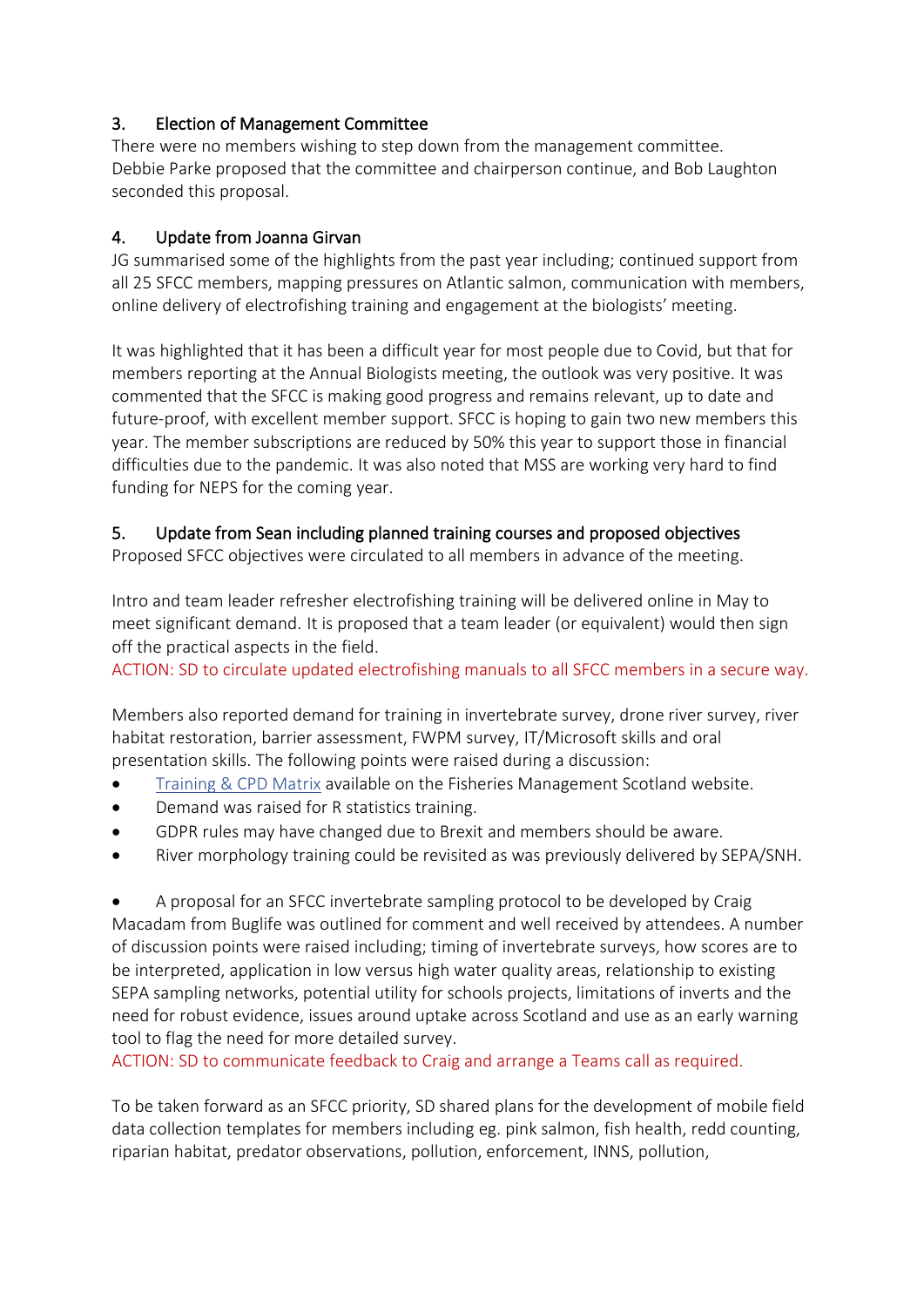## 3. Election of Management Committee

There were no members wishing to step down from the management committee. Debbie Parke proposed that the committee and chairperson continue, and Bob Laughton seconded this proposal.

## 4. Update from Joanna Girvan

JG summarised some of the highlights from the past year including; continued support from all 25 SFCC members, mapping pressures on Atlantic salmon, communication with members, online delivery of electrofishing training and engagement at the biologists' meeting.

It was highlighted that it has been a difficult year for most people due to Covid, but that for members reporting at the Annual Biologists meeting, the outlook was very positive. It was commented that the SFCC is making good progress and remains relevant, up to date and future-proof, with excellent member support. SFCC is hoping to gain two new members this year. The member subscriptions are reduced by 50% this year to support those in financial difficulties due to the pandemic. It was also noted that MSS are working very hard to find funding for NEPS for the coming year.

## 5. Update from Sean including planned training courses and proposed objectives

Proposed SFCC objectives were circulated to all members in advance of the meeting.

Intro and team leader refresher electrofishing training will be delivered online in May to meet significant demand. It is proposed that a team leader (or equivalent) would then sign off the practical aspects in the field.

ACTION: SD to circulate updated electrofishing manuals to all SFCC members in a secure way.

Members also reported demand for training in invertebrate survey, drone river survey, river habitat restoration, barrier assessment, FWPM survey, IT/Microsoft skills and oral presentation skills. The following points were raised during a discussion:

- [Training & CPD Matrix](http://fms.scot/fms-training-and-cpd-matrix/) available on the Fisheries Management Scotland website.
- Demand was raised for R statistics training.
- GDPR rules may have changed due to Brexit and members should be aware.
- River morphology training could be revisited as was previously delivered by SEPA/SNH.

• A proposal for an SFCC invertebrate sampling protocol to be developed by Craig Macadam from Buglife was outlined for comment and well received by attendees. A number of discussion points were raised including; timing of invertebrate surveys, how scores are to be interpreted, application in low versus high water quality areas, relationship to existing SEPA sampling networks, potential utility for schools projects, limitations of inverts and the need for robust evidence, issues around uptake across Scotland and use as an early warning tool to flag the need for more detailed survey.

ACTION: SD to communicate feedback to Craig and arrange a Teams call as required.

To be taken forward as an SFCC priority, SD shared plans for the development of mobile field data collection templates for members including eg. pink salmon, fish health, redd counting, riparian habitat, predator observations, pollution, enforcement, INNS, pollution,